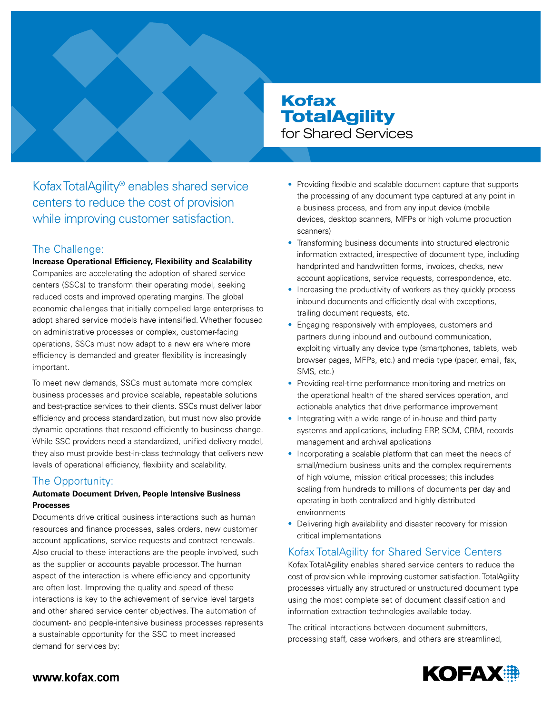# Kofax **TotalAgility** for Shared Services

Kofax TotalAgility® enables shared service centers to reduce the cost of provision while improving customer satisfaction.

### The Challenge:

**Increase Operational Efficiency, Flexibility and Scalability**  Companies are accelerating the adoption of shared service centers (SSCs) to transform their operating model, seeking reduced costs and improved operating margins. The global economic challenges that initially compelled large enterprises to adopt shared service models have intensified. Whether focused on administrative processes or complex, customer-facing operations, SSCs must now adapt to a new era where more efficiency is demanded and greater flexibility is increasingly important.

To meet new demands, SSCs must automate more complex business processes and provide scalable, repeatable solutions and best-practice services to their clients. SSCs must deliver labor efficiency and process standardization, but must now also provide dynamic operations that respond efficiently to business change. While SSC providers need a standardized, unified delivery model, they also must provide best-in-class technology that delivers new levels of operational efficiency, flexibility and scalability.

# The Opportunity:

### **Automate Document Driven, People Intensive Business Processes**

Documents drive critical business interactions such as human resources and finance processes, sales orders, new customer account applications, service requests and contract renewals. Also crucial to these interactions are the people involved, such as the supplier or accounts payable processor. The human aspect of the interaction is where efficiency and opportunity are often lost. Improving the quality and speed of these interactions is key to the achievement of service level targets and other shared service center objectives. The automation of document- and people-intensive business processes represents a sustainable opportunity for the SSC to meet increased demand for services by:

- Providing flexible and scalable document capture that supports the processing of any document type captured at any point in a business process, and from any input device (mobile devices, desktop scanners, MFPs or high volume production scanners)
- Transforming business documents into structured electronic information extracted, irrespective of document type, including handprinted and handwritten forms, invoices, checks, new account applications, service requests, correspondence, etc.
- Increasing the productivity of workers as they quickly process inbound documents and efficiently deal with exceptions, trailing document requests, etc.
- Engaging responsively with employees, customers and partners during inbound and outbound communication, exploiting virtually any device type (smartphones, tablets, web browser pages, MFPs, etc.) and media type (paper, email, fax, SMS, etc.)
- Providing real-time performance monitoring and metrics on the operational health of the shared services operation, and actionable analytics that drive performance improvement
- Integrating with a wide range of in-house and third party systems and applications, including ERP, SCM, CRM, records management and archival applications
- Incorporating a scalable platform that can meet the needs of small/medium business units and the complex requirements of high volume, mission critical processes; this includes scaling from hundreds to millions of documents per day and operating in both centralized and highly distributed environments
- Delivering high availability and disaster recovery for mission critical implementations

# Kofax TotalAgility for Shared Service Centers

Kofax TotalAgility enables shared service centers to reduce the cost of provision while improving customer satisfaction. TotalAgility processes virtually any structured or unstructured document type using the most complete set of document classification and information extraction technologies available today.

The critical interactions between document submitters, processing staff, case workers, and others are streamlined,